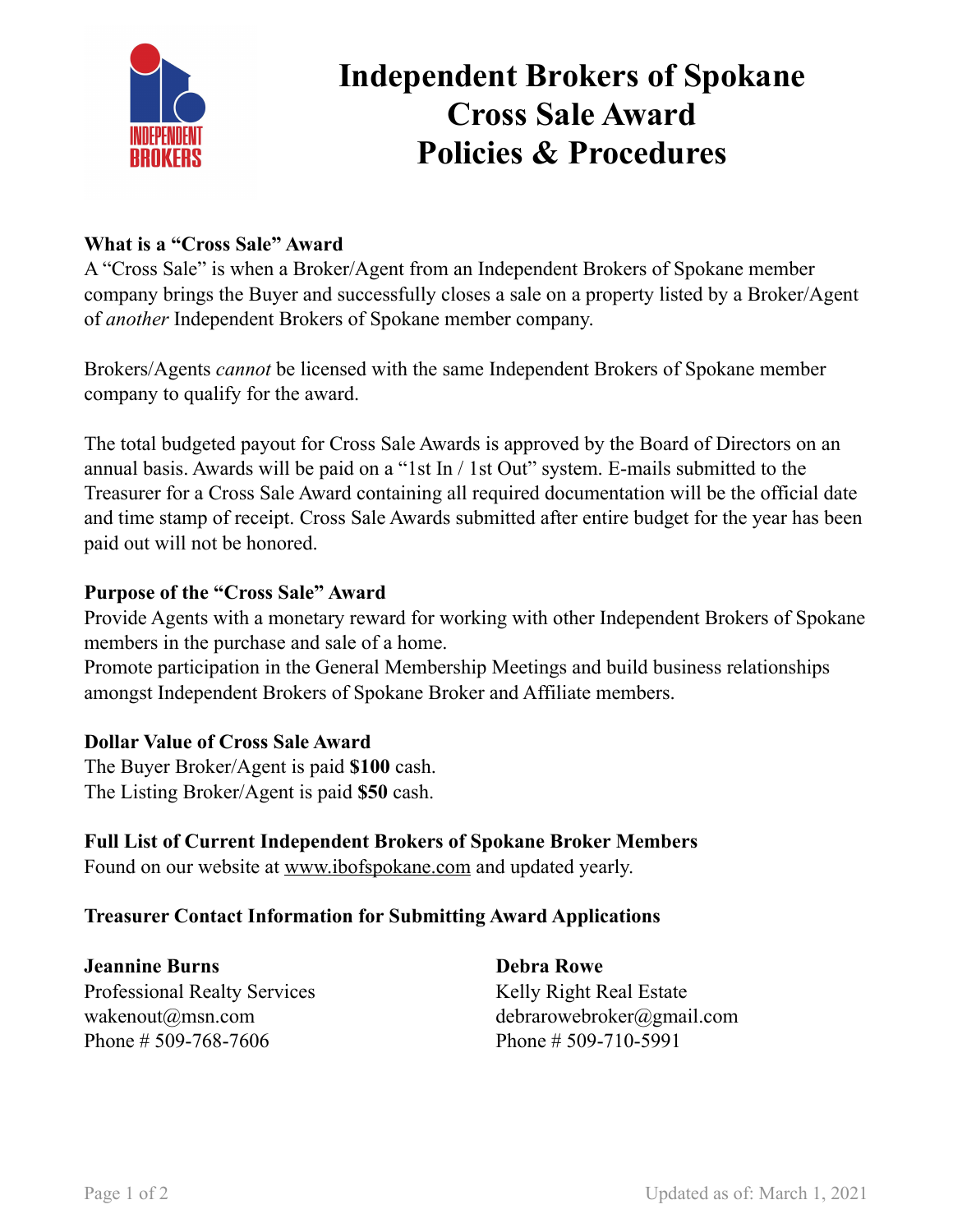

# **Independent Brokers of Spokane Cross Sale Award Policies & Procedures**

### **What is a "Cross Sale" Award**

A "Cross Sale" is when a Broker/Agent from an Independent Brokers of Spokane member company brings the Buyer and successfully closes a sale on a property listed by a Broker/Agent of *another* Independent Brokers of Spokane member company.

Brokers/Agents *cannot* be licensed with the same Independent Brokers of Spokane member company to qualify for the award.

The total budgeted payout for Cross Sale Awards is approved by the Board of Directors on an annual basis. Awards will be paid on a "1st In / 1st Out" system. E-mails submitted to the Treasurer for a Cross Sale Award containing all required documentation will be the official date and time stamp of receipt. Cross Sale Awards submitted after entire budget for the year has been paid out will not be honored.

#### **Purpose of the "Cross Sale" Award**

Provide Agents with a monetary reward for working with other Independent Brokers of Spokane members in the purchase and sale of a home.

Promote participation in the General Membership Meetings and build business relationships amongst Independent Brokers of Spokane Broker and Affiliate members.

#### **Dollar Value of Cross Sale Award**

The Buyer Broker/Agent is paid **\$100** cash. The Listing Broker/Agent is paid **\$50** cash.

#### **Full List of Current Independent Brokers of Spokane Broker Members**

Found on our website at [www.ibofspokane.com](http://www.ibofspokane.com) and updated yearly.

#### **Treasurer Contact Information for Submitting Award Applications**

**Jeannine Burns** Professional Realty Services wakenout@msn.com Phone # 509-768-7606

**Debra Rowe** Kelly Right Real Estate debrarowebroker@gmail.com Phone # 509-710-5991